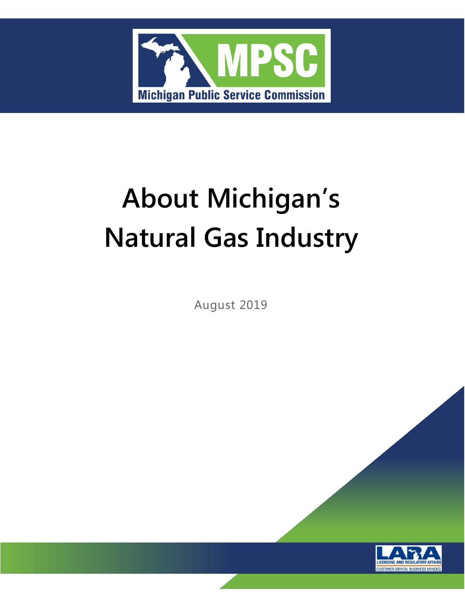

# **About Michigan's Natural Gas Industry**

August 2019

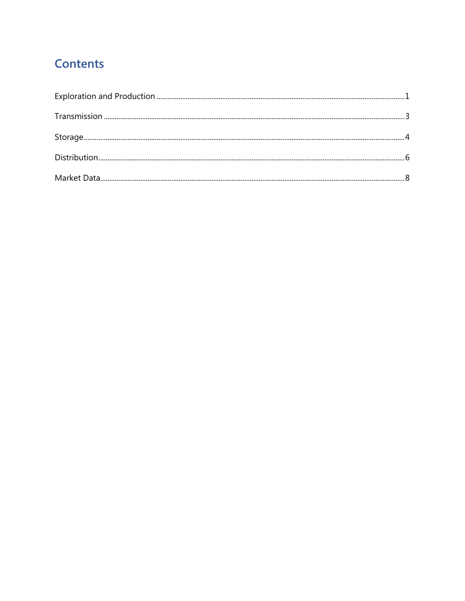# **Contents**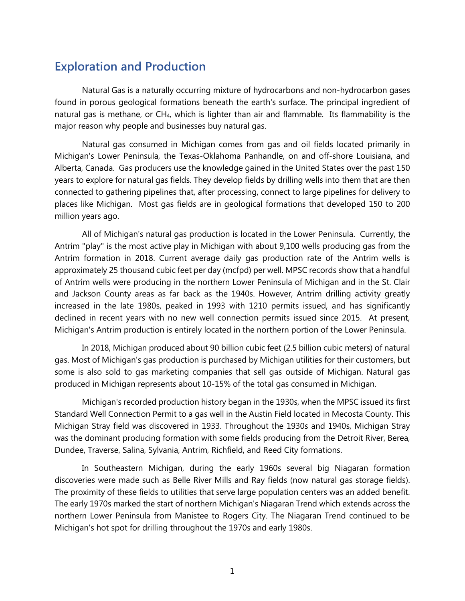# <span id="page-4-0"></span>**Exploration and Production**

Natural Gas is a naturally occurring mixture of hydrocarbons and non-hydrocarbon gases found in porous geological formations beneath the earth's surface. The principal ingredient of natural gas is methane, or CH<sub>4</sub>, which is lighter than air and flammable. Its flammability is the major reason why people and businesses buy natural gas.

Natural gas consumed in Michigan comes from gas and oil fields located primarily in Michigan's Lower Peninsula, the Texas-Oklahoma Panhandle, on and off-shore Louisiana, and Alberta, Canada. Gas producers use the knowledge gained in the United States over the past 150 years to explore for natural gas fields. They develop fields by drilling wells into them that are then connected to gathering pipelines that, after processing, connect to large pipelines for delivery to places like Michigan. Most gas fields are in geological formations that developed 150 to 200 million years ago.

All of Michigan's natural gas production is located in the Lower Peninsula. Currently, the Antrim "play" is the most active play in Michigan with about 9,100 wells producing gas from the Antrim formation in 2018. Current average daily gas production rate of the Antrim wells is approximately 25 thousand cubic feet per day (mcfpd) per well. MPSC records show that a handful of Antrim wells were producing in the northern Lower Peninsula of Michigan and in the St. Clair and Jackson County areas as far back as the 1940s. However, Antrim drilling activity greatly increased in the late 1980s, peaked in 1993 with 1210 permits issued, and has significantly declined in recent years with no new well connection permits issued since 2015. At present, Michigan's Antrim production is entirely located in the northern portion of the Lower Peninsula.

In 2018, Michigan produced about 90 billion cubic feet (2.5 billion cubic meters) of natural gas. Most of Michigan's gas production is purchased by Michigan utilities for their customers, but some is also sold to gas marketing companies that sell gas outside of Michigan. Natural gas produced in Michigan represents about 10-15% of the total gas consumed in Michigan.

Michigan's recorded production history began in the 1930s, when the MPSC issued its first Standard Well Connection Permit to a gas well in the Austin Field located in Mecosta County. This Michigan Stray field was discovered in 1933. Throughout the 1930s and 1940s, Michigan Stray was the dominant producing formation with some fields producing from the Detroit River, Berea, Dundee, Traverse, Salina, Sylvania, Antrim, Richfield, and Reed City formations.

In Southeastern Michigan, during the early 1960s several big Niagaran formation discoveries were made such as Belle River Mills and Ray fields (now natural gas storage fields). The proximity of these fields to utilities that serve large population centers was an added benefit. The early 1970s marked the start of northern Michigan's Niagaran Trend which extends across the northern Lower Peninsula from Manistee to Rogers City. The Niagaran Trend continued to be Michigan's hot spot for drilling throughout the 1970s and early 1980s.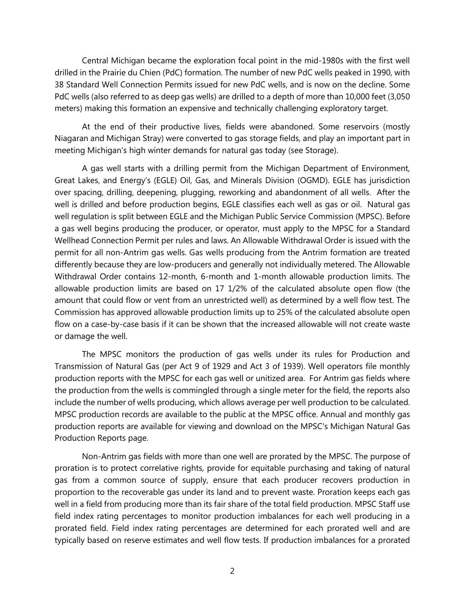Central Michigan became the exploration focal point in the mid-1980s with the first well drilled in the Prairie du Chien (PdC) formation. The number of new PdC wells peaked in 1990, with 38 Standard Well Connection Permits issued for new PdC wells, and is now on the decline. Some PdC wells (also referred to as deep gas wells) are drilled to a depth of more than 10,000 feet (3,050 meters) making this formation an expensive and technically challenging exploratory target.

At the end of their productive lives, fields were abandoned. Some reservoirs (mostly Niagaran and Michigan Stray) were converted to gas storage fields, and play an important part in meeting Michigan's high winter demands for natural gas today (see Storage).

A gas well starts with a drilling permit from the Michigan Department of Environment, Great Lakes, and Energy's (EGLE) Oil, Gas, and Minerals Division (OGMD). EGLE has jurisdiction over spacing, drilling, deepening, plugging, reworking and abandonment of all wells. After the well is drilled and before production begins, EGLE classifies each well as gas or oil. Natural gas well regulation is split between EGLE and the Michigan Public Service Commission (MPSC). Before a gas well begins producing the producer, or operator, must apply to the MPSC for a Standard Wellhead Connection Permit per rules and laws. An Allowable Withdrawal Order is issued with the permit for all non-Antrim gas wells. Gas wells producing from the Antrim formation are treated differently because they are low-producers and generally not individually metered. The Allowable Withdrawal Order contains 12-month, 6-month and 1-month allowable production limits. The allowable production limits are based on 17 1/2% of the calculated absolute open flow (the amount that could flow or vent from an unrestricted well) as determined by a well flow test. The Commission has approved allowable production limits up to 25% of the calculated absolute open flow on a case-by-case basis if it can be shown that the increased allowable will not create waste or damage the well.

The MPSC monitors the production of gas wells under its rules for Production and Transmission of Natural Gas (per Act 9 of 1929 and Act 3 of 1939). Well operators file monthly production reports with the MPSC for each gas well or unitized area. For Antrim gas fields where the production from the wells is commingled through a single meter for the field, the reports also include the number of wells producing, which allows average per well production to be calculated. MPSC production records are available to the public at the MPSC office. Annual and monthly gas production reports are available for viewing and download on the MPSC's Michigan Natural Gas Production Reports page.

Non-Antrim gas fields with more than one well are prorated by the MPSC. The purpose of proration is to protect correlative rights, provide for equitable purchasing and taking of natural gas from a common source of supply, ensure that each producer recovers production in proportion to the recoverable gas under its land and to prevent waste. Proration keeps each gas well in a field from producing more than its fair share of the total field production. MPSC Staff use field index rating percentages to monitor production imbalances for each well producing in a prorated field. Field index rating percentages are determined for each prorated well and are typically based on reserve estimates and well flow tests. If production imbalances for a prorated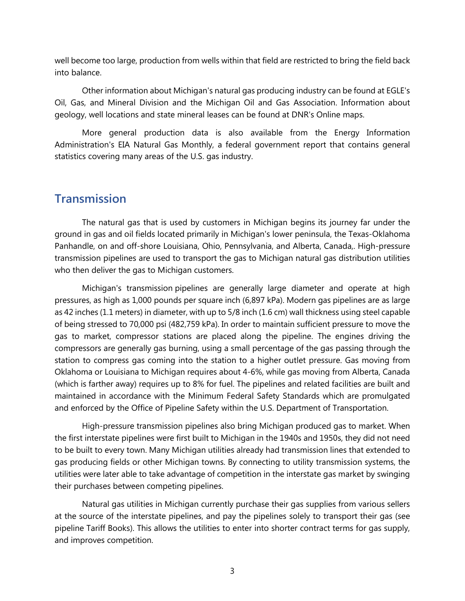well become too large, production from wells within that field are restricted to bring the field back into balance.

Other information about Michigan's natural gas producing industry can be found at EGLE's Oil, Gas, and Mineral Division and the Michigan Oil and Gas Association. Information about geology, well locations and state mineral leases can be found at DNR's Online maps.

More general production data is also available from the Energy Information Administration's EIA Natural Gas Monthly, a federal government report that contains general statistics covering many areas of the U.S. gas industry.

#### <span id="page-6-0"></span>**Transmission**

The natural gas that is used by customers in Michigan begins its journey far under the ground in gas and oil fields located primarily in Michigan's lower peninsula, the Texas-Oklahoma Panhandle, on and off-shore Louisiana, Ohio, Pennsylvania, and Alberta, Canada,. High-pressure transmission pipelines are used to transport the gas to Michigan natural gas distribution utilities who then deliver the gas to Michigan customers.

Michigan's transmission pipelines are generally large diameter and operate at high pressures, as high as 1,000 pounds per square inch (6,897 kPa). Modern gas pipelines are as large as 42 inches (1.1 meters) in diameter, with up to 5/8 inch (1.6 cm) wall thickness using steel capable of being stressed to 70,000 psi (482,759 kPa). In order to maintain sufficient pressure to move the gas to market, compressor stations are placed along the pipeline. The engines driving the compressors are generally gas burning, using a small percentage of the gas passing through the station to compress gas coming into the station to a higher outlet pressure. Gas moving from Oklahoma or Louisiana to Michigan requires about 4-6%, while gas moving from Alberta, Canada (which is farther away) requires up to 8% for fuel. The pipelines and related facilities are built and maintained in accordance with the [Minimum Federal Safety Standards](https://www.phmsa.dot.gov/pipeline/regs) which are promulgated and enforced by the Office of Pipeline Safety within the U.S. Department of Transportation.

High-pressure transmission pipelines also bring Michigan produced gas to market. When the first interstate pipelines were first built to Michigan in the 1940s and 1950s, they did not need to be built to every town. Many Michigan utilities already had transmission lines that extended to gas producing fields or other Michigan towns. By connecting to utility transmission systems, the utilities were later able to take advantage of competition in the interstate gas market by swinging their purchases between competing pipelines.

Natural gas utilities in Michigan currently purchase their gas supplies from various sellers at the source of the interstate pipelines, and pay the pipelines solely to transport their gas (see [pipeline Tariff Books\)](http://www.michigan.gov/mpsc/0,1607,7-159-16385-124197--,00.html). This allows the utilities to enter into shorter contract terms for gas supply, and improves competition.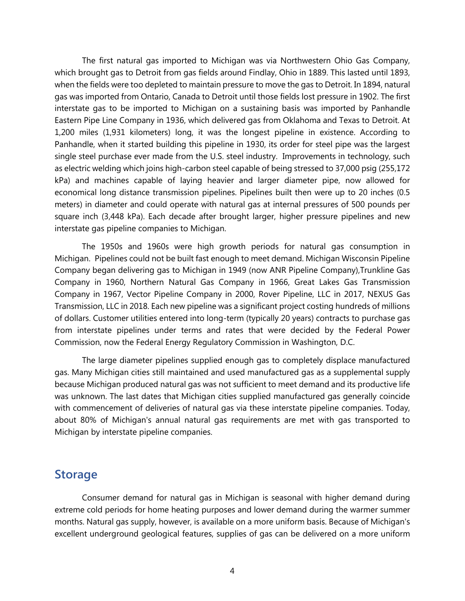The first natural gas imported to Michigan was via Northwestern Ohio Gas Company, which brought gas to Detroit from gas fields around Findlay, Ohio in 1889. This lasted until 1893, when the fields were too depleted to maintain pressure to move the gas to Detroit. In 1894, natural gas was imported from Ontario, Canada to Detroit until those fields lost pressure in 1902. The first interstate gas to be imported to Michigan on a sustaining basis was imported by Panhandle Eastern Pipe Line Company in 1936, which delivered gas from Oklahoma and Texas to Detroit. At 1,200 miles (1,931 kilometers) long, it was the longest pipeline in existence. According to Panhandle, when it started building this pipeline in 1930, its order for steel pipe was the largest single steel purchase ever made from the U.S. steel industry. Improvements in technology, such as electric welding which joins high-carbon steel capable of being stressed to 37,000 psig (255,172 kPa) and machines capable of laying heavier and larger diameter pipe, now allowed for economical long distance transmission pipelines. Pipelines built then were up to 20 inches (0.5 meters) in diameter and could operate with natural gas at internal pressures of 500 pounds per square inch (3,448 kPa). Each decade after brought larger, higher pressure pipelines and new interstate gas pipeline companies to Michigan.

The 1950s and 1960s were high growth periods for natural gas consumption in Michigan. Pipelines could not be built fast enough to meet demand. Michigan Wisconsin Pipeline Company began delivering gas to Michigan in 1949 (now ANR Pipeline Company),Trunkline Gas Company in 1960, Northern Natural Gas Company in 1966, Great Lakes Gas Transmission Company in 1967, Vector Pipeline Company in 2000, Rover Pipeline, LLC in 2017, NEXUS Gas Transmission, LLC in 2018. Each new pipeline was a significant project costing hundreds of millions of dollars. Customer utilities entered into long-term (typically 20 years) contracts to purchase gas from interstate pipelines under terms and rates that were decided by the Federal Power Commission, now the [Federal Energy Regulatory Commission](http://www.ferc.gov/) in Washington, D.C.

The large diameter pipelines supplied enough gas to completely displace manufactured gas. Many Michigan cities still maintained and used manufactured gas as a supplemental supply because Michigan produced natural gas was not sufficient to meet demand and its productive life was unknown. The last dates that Michigan cities supplied manufactured gas generally coincide with commencement of deliveries of natural gas via these interstate pipeline companies. Today, about 80% of Michigan's annual natural gas requirements are met with gas transported to Michigan by interstate pipeline companies.

#### <span id="page-7-0"></span>**Storage**

Consumer demand for natural gas in Michigan is seasonal with higher demand during extreme cold periods for home heating purposes and lower demand during the warmer summer months. Natural gas supply, however, is available on a more uniform basis. Because of Michigan's excellent underground geological features, supplies of gas can be delivered on a more uniform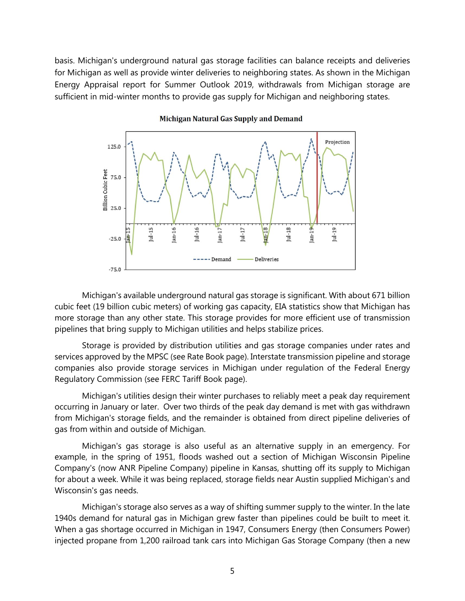basis. Michigan's underground natural gas storage facilities can balance receipts and deliveries for Michigan as well as provide winter deliveries to neighboring states. As shown in the [Michigan](http://www.michigan.gov/documents/energy/ea-summer17_573223_7.pdf)  [Energy Appraisal report for Summer Outlook](http://www.michigan.gov/documents/energy/ea-summer17_573223_7.pdf) 2019, withdrawals from Michigan storage are sufficient in mid-winter months to provide gas supply for Michigan and neighboring states.



#### Michigan Natural Gas Supply and Demand

Michigan's available underground natural gas storage is significant. With about 671 billion cubic feet (19 billion cubic meters) of working gas capacity, [EIA statistics](http://tonto.eia.doe.gov/dnav/ng/ng_stor_cap_a_EPG0_SAC_Mmcf_a.htm) show that Michigan has more storage than any other state. This storage provides for more efficient use of transmission pipelines that bring supply to Michigan utilities and helps stabilize prices.

Storage is provided by distribution utilities and gas storage companies under rates and services approved by the MPSC (se[e Rate Book page\)](http://www.michigan.gov/mpsc/0,1607,7-159-16385-110722--,00.html). Interstate transmission pipeline and storage companies also provide storage services in Michigan under regulation of the Federal Energy Regulatory Commission (see [FERC Tariff Book page\)](http://www.michigan.gov/mpsc/0,1607,7-159-16385-124197--,00.html).

Michigan's utilities design their winter purchases to reliably meet a peak day requirement occurring in January or later. Over two thirds of the peak day demand is met with gas withdrawn from Michigan's storage fields, and the remainder is obtained from direct pipeline deliveries of gas from within and outside of Michigan.

Michigan's gas storage is also useful as an alternative supply in an emergency. For example, in the spring of 1951, floods washed out a section of Michigan Wisconsin Pipeline Company's (now ANR Pipeline Company) pipeline in Kansas, shutting off its supply to Michigan for about a week. While it was being replaced, storage fields near Austin supplied Michigan's and Wisconsin's gas needs.

Michigan's storage also serves as a way of shifting summer supply to the winter. In the late 1940s demand for natural gas in Michigan grew faster than pipelines could be built to meet it. When a gas shortage occurred in Michigan in 1947, Consumers Energy (then Consumers Power) injected propane from 1,200 railroad tank cars into Michigan Gas Storage Company (then a new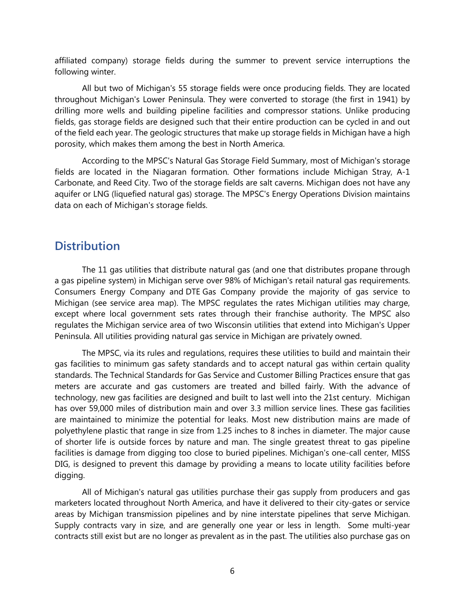affiliated company) storage fields during the summer to prevent service interruptions the following winter.

All but two of Michigan's 55 storage fields were once producing fields. They are located throughout Michigan's Lower Peninsula. They were converted to storage (the first in 1941) by drilling more wells and building pipeline facilities and compressor stations. Unlike producing fields, gas storage fields are designed such that their entire production can be cycled in and out of the field each year. The geologic structures that make up storage fields in Michigan have a high porosity, which makes them among the best in North America.

According to the MPSC's [Natural Gas Storage Field](http://www.michigan.gov/mpsc/0,4639,7-159-16385_59482-426107--,00.html#tab=Active) Summary, most of Michigan's storage fields are located in the Niagaran formation. Other formations include Michigan Stray, A-1 Carbonate, and Reed City. Two of the storage fields are salt caverns. Michigan does not have any aquifer or LNG (liquefied natural gas) storage. The MPSC's Energy Operations Division maintains data on each of Michigan's storage fields.

### <span id="page-9-0"></span>**Distribution**

The 11 gas utilities that distribute natural gas (and one that distributes propane through a gas pipeline system) in Michigan serve over 98% of Michigan's retail natural gas requirements. Consumers Energy Company and DTE Gas Company provide the majority of gas service to Michigan (see [service area map\)](http://www.michigan.gov/mpsc/0,4639,7-159--41313--,00.html). The MPSC regulates the rates Michigan utilities may charge, except where local government sets rates through their franchise authority. The MPSC also regulates the Michigan service area of two Wisconsin utilities that extend into Michigan's Upper Peninsula. All utilities providing natural gas service in Michigan are privately owned.

The MPSC, via its [rules and regulations,](http://www.michigan.gov/mpsc/0,4639,7-159-16370_52012---,00.html) requires these utilities to build and maintain their gas facilities to minimum [gas safety standards](http://www.michigan.gov/mpsc/0,4639,7-159-16385-426794--,00.html) and to accept natural gas within certain quality standards. The Technical Standards for Gas Service and Customer Billing Practices ensure that gas meters are accurate and gas customers are treated and billed fairly. With the advance of technology, new gas facilities are designed and built to last well into the 21st century. Michigan has over 59,000 miles of distribution main and over 3.3 million service lines. These gas facilities are maintained to minimize the potential for leaks. Most new distribution mains are made of polyethylene plastic that range in size from 1.25 inches to 8 inches in diameter. The major cause of shorter life is outside forces by nature and man. The single greatest threat to gas pipeline facilities is damage from digging too close to buried pipelines. Michigan's one-call center, [MISS](http://www.missdig.org/)  [DIG,](http://www.missdig.org/) is designed to prevent this damage by providing a means to locate utility facilities before digging.

All of Michigan's natural gas utilities purchase their gas supply from producers and gas marketers located throughout North America, and have it delivered to their city-gates or service areas by Michigan transmission pipelines and by nine interstate pipelines that serve Michigan. Supply contracts vary in size, and are generally one year or less in length. Some multi-year contracts still exist but are no longer as prevalent as in the past. The utilities also purchase gas on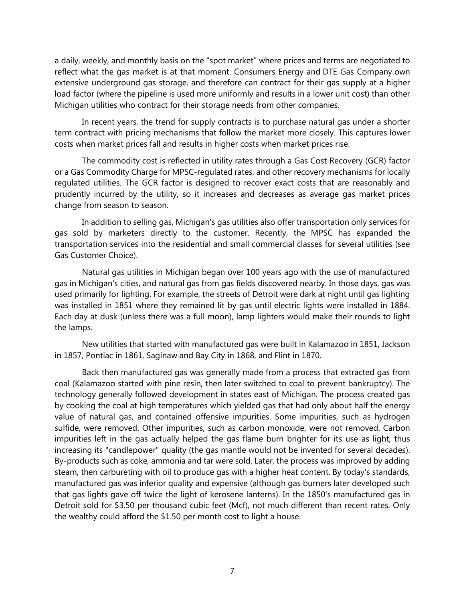a daily, weekly, and monthly basis on the "spot market" where prices and terms are negotiated to reflect what the gas market is at that moment. Consumers Energy and DTE Gas Company own extensive underground gas storage, and therefore can contract for their gas supply at a higher load factor (where the pipeline is used more uniformly and results in a lower unit cost) than other Michigan utilities who contract for their storage needs from other companies.

In recent years, the trend for supply contracts is to purchase natural gas under a shorter term contract with pricing mechanisms that follow the market more closely. This captures lower costs when market prices fall and results in higher costs when market prices rise.

The commodity cost is reflected in utility rates through a Gas Cost Recovery (GCR) factor or a Gas Commodity Charge for MPSC-regulated rates, and other recovery mechanisms for locally regulated utilities. The GCR factor is designed to recover exact costs that are reasonably and prudently incurred by the utility, so it increases and decreases as average gas market prices change from season to season.

In addition to selling gas, Michigan's gas utilities also offer transportation only services for gas sold by marketers directly to the customer. Recently, the MPSC has expanded the transportation services into the residential and small commercial classes for several utilities (see [Gas Customer Choice\)](http://www.michigan.gov/natgaschoice).

Natural gas utilities in Michigan began over 100 years ago with the use of manufactured gas in Michigan's cities, and natural gas from gas fields discovered nearby. In those days, gas was used primarily for lighting. For example, the streets of Detroit were dark at night until gas lighting was installed in 1851 where they remained lit by gas until electric lights were installed in 1884. Each day at dusk (unless there was a full moon), lamp lighters would make their rounds to light the lamps.

New utilities that started with manufactured gas were built in Kalamazoo in 1851, Jackson in 1857, Pontiac in 1861, Saginaw and Bay City in 1868, and Flint in 1870.

Back then manufactured gas was generally made from a process that extracted gas from coal (Kalamazoo started with pine resin, then later switched to coal to prevent bankruptcy). The technology generally followed development in states east of Michigan. The process created gas by cooking the coal at high temperatures which yielded gas that had only about half the energy value of natural gas, and contained offensive impurities. Some impurities, such as hydrogen sulfide, were removed. Other impurities, such as carbon monoxide, were not removed. Carbon impurities left in the gas actually helped the gas flame burn brighter for its use as light, thus increasing its "candlepower" quality (the gas mantle would not be invented for several decades). By-products such as coke, ammonia and tar were sold. Later, the process was improved by adding steam, then carbureting with oil to produce gas with a higher heat content. By today's standards, manufactured gas was inferior quality and expensive (although gas burners later developed such that gas lights gave off twice the light of kerosene lanterns). In the 1850's manufactured gas in Detroit sold for \$3.50 per thousand cubic feet (Mcf), not much different than recent rates. Only the wealthy could afford the \$1.50 per month cost to light a house.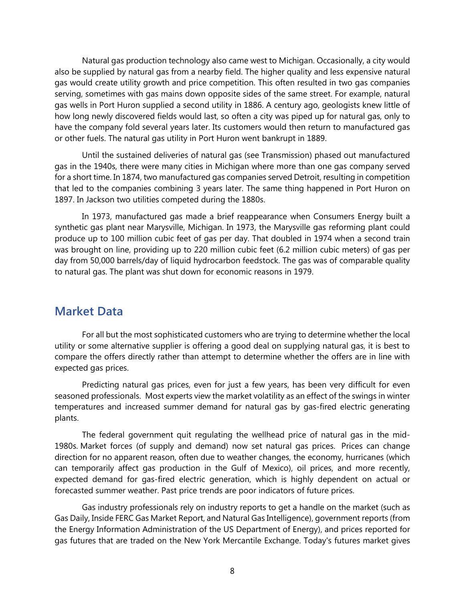Natural gas production technology also came west to Michigan. Occasionally, a city would also be supplied by natural gas from a nearby field. The higher quality and less expensive natural gas would create utility growth and price competition. This often resulted in two gas companies serving, sometimes with gas mains down opposite sides of the same street. For example, natural gas wells in Port Huron supplied a second utility in 1886. A century ago, geologists knew little of how long newly discovered fields would last, so often a city was piped up for natural gas, only to have the company fold several years later. Its customers would then return to manufactured gas or other fuels. The natural gas utility in Port Huron went bankrupt in 1889.

Until the sustained deliveries of natural gas (see [Transmission\)](http://www.michigan.gov/mpsc/0,4639,7-159-16385_59482-424546--,00.html#tab=Transmission) phased out manufactured gas in the 1940s, there were many cities in Michigan where more than one gas company served for a short time. In 1874, two manufactured gas companies served Detroit, resulting in competition that led to the companies combining 3 years later. The same thing happened in Port Huron on 1897. In Jackson two utilities competed during the 1880s.

In 1973, manufactured gas made a brief reappearance when Consumers Energy built a synthetic gas plant near Marysville, Michigan. In 1973, the Marysville gas reforming plant could produce up to 100 million cubic feet of gas per day. That doubled in 1974 when a second train was brought on line, providing up to 220 million cubic feet (6.2 million cubic meters) of gas per day from 50,000 barrels/day of liquid hydrocarbon feedstock. The gas was of comparable quality to natural gas. The plant was shut down for economic reasons in 1979.

# <span id="page-11-0"></span>**Market Data**

For all but the most sophisticated customers who are trying to determine whether the local utility or some alternative supplier is offering a good deal on supplying natural gas, it is best to compare the offers directly rather than attempt to determine whether the offers are in line with expected gas prices.

Predicting natural gas prices, even for just a few years, has been very difficult for even seasoned professionals. Most experts view the market volatility as an effect of the swings in winter temperatures and increased summer demand for natural gas by gas-fired electric generating plants.

The federal government quit regulating the wellhead price of natural gas in the mid-1980s. Market forces (of supply and demand) now set natural gas prices. Prices can change direction for no apparent reason, often due to weather changes, the economy, hurricanes (which can temporarily affect gas production in the Gulf of Mexico), oil prices, and more recently, expected demand for gas-fired electric generation, which is highly dependent on actual or forecasted summer weather. Past price trends are poor indicators of future prices.

Gas industry professionals rely on industry reports to get a handle on the market (such as Gas Daily, Inside FERC Gas Market Report, and Natural Gas Intelligence), government reports (from the [Energy Information Administration](http://www.eia.doe.gov/) of the US Department of Energy), and prices reported for gas futures that are traded on the New York Mercantile Exchange. Today's futures market gives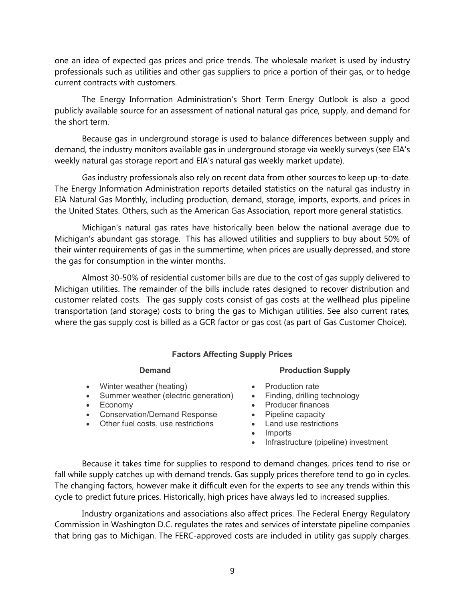one an idea of expected gas prices and price trends. The wholesale market is used by industry professionals such as utilities and other gas suppliers to price a portion of their gas, or to hedge current contracts with customers.

The Energy Information Administration's [Short Term Energy Outlook](http://www.eia.doe.gov/emeu/steo/pub/contents.html) is also a good publicly available source for an assessment of national natural gas price, supply, and demand for the short term.

Because gas in underground storage is used to balance differences between supply and demand, the industry monitors available gas in underground storage via weekly surveys (see [EIA's](http://ir.eia.gov/ngs/ngs.html)  [weekly natural gas storage report](http://ir.eia.gov/ngs/ngs.html) and [EIA's natural gas weekly market update\)](https://www.eia.gov/naturalgas/weekly/).

Gas industry professionals also rely on recent data from other sources to keep up-to-date. The Energy Information Administration reports detailed statistics on the natural gas industry in [EIA Natural Gas Monthly,](http://www.eia.doe.gov/oil_gas/natural_gas/data_publications/natural_gas_monthly/ngm.html) including production, demand, storage, imports, exports, and prices in the United States. Others, such as the [American Gas Association,](https://www.aga.org/) report more general statistics.

Michigan's natural gas rates have historically been below the national average due to Michigan's abundant gas storage. This has allowed utilities and suppliers to buy about 50% of their winter requirements of gas in the summertime, when prices are usually depressed, and store the gas for consumption in the winter months.

Almost 30-50% of residential customer bills are due to the cost of gas supply delivered to Michigan utilities. The remainder of the bills include rates designed to recover distribution and customer related costs. The gas supply costs consist of gas costs at the wellhead plus pipeline transportation (and storage) costs to bring the gas to Michigan utilities. See also [current rates,](http://www.michigan.gov/documents/mpsc/gasrates_592543_7.pdf)  where the gas supply cost is billed as a GCR factor or gas cost (as part of [Gas Customer Choice\)](http://www.michigan.gov/natgaschoice).

#### **Factors Affecting Supply Prices**

- Winter weather (heating)
- Summer weather (electric generation)
- Economy
- Conservation/Demand Response
- Other fuel costs, use restrictions

#### **Demand Production Supply**

- Production rate
- Finding, drilling technology
- Producer finances
- Pipeline capacity
- Land use restrictions
- Imports
- Infrastructure (pipeline) investment

Because it takes time for supplies to respond to demand changes, prices tend to rise or fall while supply catches up with demand trends. Gas supply prices therefore tend to go in cycles. The changing factors, however make it difficult even for the experts to see any trends within this cycle to predict future prices. Historically, high prices have always led to increased supplies.

Industry organizations and associations also affect prices. The [Federal Energy Regulatory](http://www.ferc.gov/)  [Commission](http://www.ferc.gov/) in Washington D.C. regulates the rates and services of interstate pipeline companies that bring gas to Michigan. The FERC-approved costs are included in utility gas supply charges.